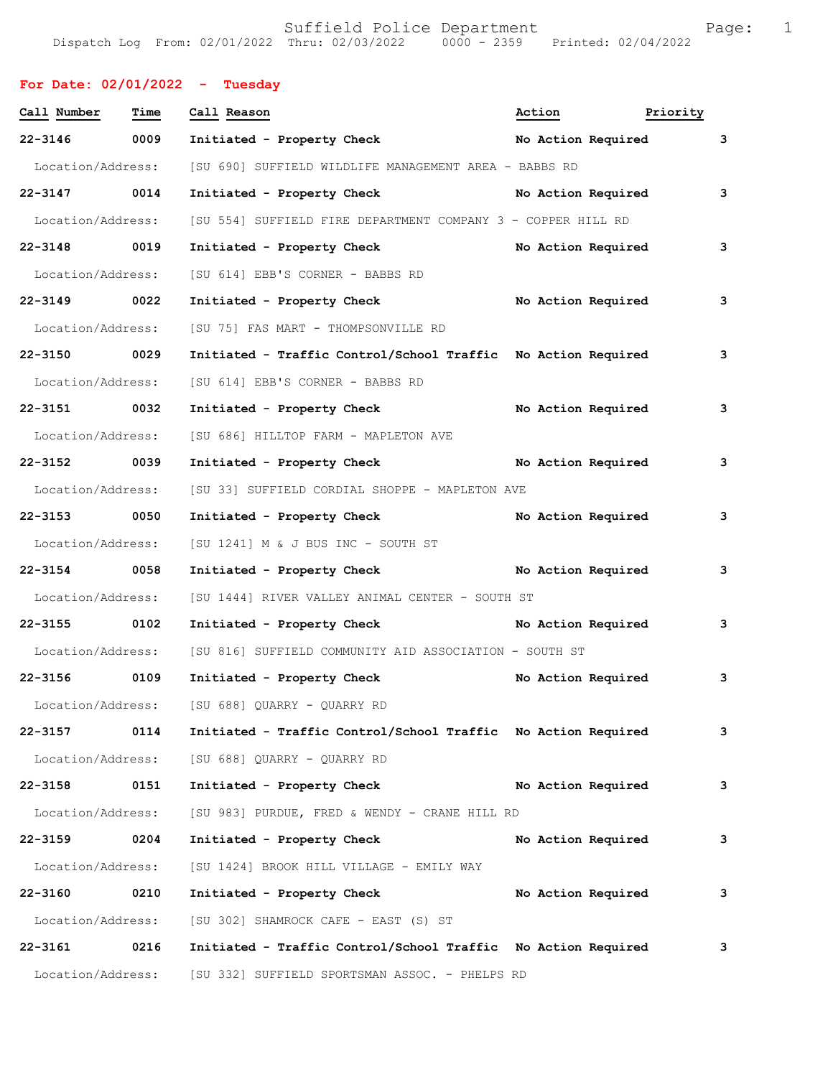## **For Date: 02/01/2022 - Tuesday**

| Call Number       | Time | Call Reason                                                   | Action | Priority           |   |
|-------------------|------|---------------------------------------------------------------|--------|--------------------|---|
| $22 - 3146$       | 0009 | Initiated - Property Check                                    |        | No Action Required | 3 |
| Location/Address: |      | [SU 690] SUFFIELD WILDLIFE MANAGEMENT AREA - BABBS RD         |        |                    |   |
| 22-3147 0014      |      | Initiated - Property Check No Action Required                 |        |                    | 3 |
| Location/Address: |      | [SU 554] SUFFIELD FIRE DEPARTMENT COMPANY 3 - COPPER HILL RD  |        |                    |   |
| 22-3148 0019      |      | Initiated - Property Check                                    |        | No Action Required | 3 |
| Location/Address: |      | [SU 614] EBB'S CORNER - BABBS RD                              |        |                    |   |
| 22-3149 0022      |      | Initiated - Property Check No Action Required                 |        |                    | 3 |
| Location/Address: |      | [SU 75] FAS MART - THOMPSONVILLE RD                           |        |                    |   |
| 22-3150 0029      |      | Initiated - Traffic Control/School Traffic No Action Required |        |                    | 3 |
| Location/Address: |      | [SU 614] EBB'S CORNER - BABBS RD                              |        |                    |   |
| 22-3151 0032      |      | Initiated - Property Check                                    |        | No Action Required | 3 |
| Location/Address: |      | [SU 686] HILLTOP FARM - MAPLETON AVE                          |        |                    |   |
| 22-3152 0039      |      | Initiated - Property Check No Action Required                 |        |                    | 3 |
| Location/Address: |      | [SU 33] SUFFIELD CORDIAL SHOPPE - MAPLETON AVE                |        |                    |   |
| 22-3153 0050      |      | Initiated - Property Check No Action Required                 |        |                    | 3 |
| Location/Address: |      | [SU 1241] M & J BUS INC - SOUTH ST                            |        |                    |   |
| 22-3154 0058      |      | Initiated - Property Check No Action Required                 |        |                    | 3 |
| Location/Address: |      | [SU 1444] RIVER VALLEY ANIMAL CENTER - SOUTH ST               |        |                    |   |
| 22-3155 0102      |      | Initiated - Property Check No Action Required                 |        |                    | 3 |
| Location/Address: |      | [SU 816] SUFFIELD COMMUNITY AID ASSOCIATION - SOUTH ST        |        |                    |   |
| 22-3156 0109      |      | Initiated - Property Check                                    |        | No Action Required | 3 |
| Location/Address: |      | [SU 688] QUARRY - QUARRY RD                                   |        |                    |   |
| 22-3157           | 0114 | Initiated - Traffic Control/School Traffic No Action Required |        |                    | 3 |
| Location/Address: |      | [SU 688] QUARRY - QUARRY RD                                   |        |                    |   |
| 22-3158           | 0151 | Initiated - Property Check                                    |        | No Action Required | 3 |
| Location/Address: |      | [SU 983] PURDUE, FRED & WENDY - CRANE HILL RD                 |        |                    |   |
| $22 - 3159$       | 0204 | Initiated - Property Check                                    |        | No Action Required | 3 |
| Location/Address: |      | [SU 1424] BROOK HILL VILLAGE - EMILY WAY                      |        |                    |   |
| 22-3160           | 0210 | Initiated - Property Check                                    |        | No Action Required | 3 |
| Location/Address: |      | [SU 302] SHAMROCK CAFE - EAST (S) ST                          |        |                    |   |
| 22-3161           | 0216 | Initiated - Traffic Control/School Traffic No Action Required |        |                    | 3 |
| Location/Address: |      | [SU 332] SUFFIELD SPORTSMAN ASSOC. - PHELPS RD                |        |                    |   |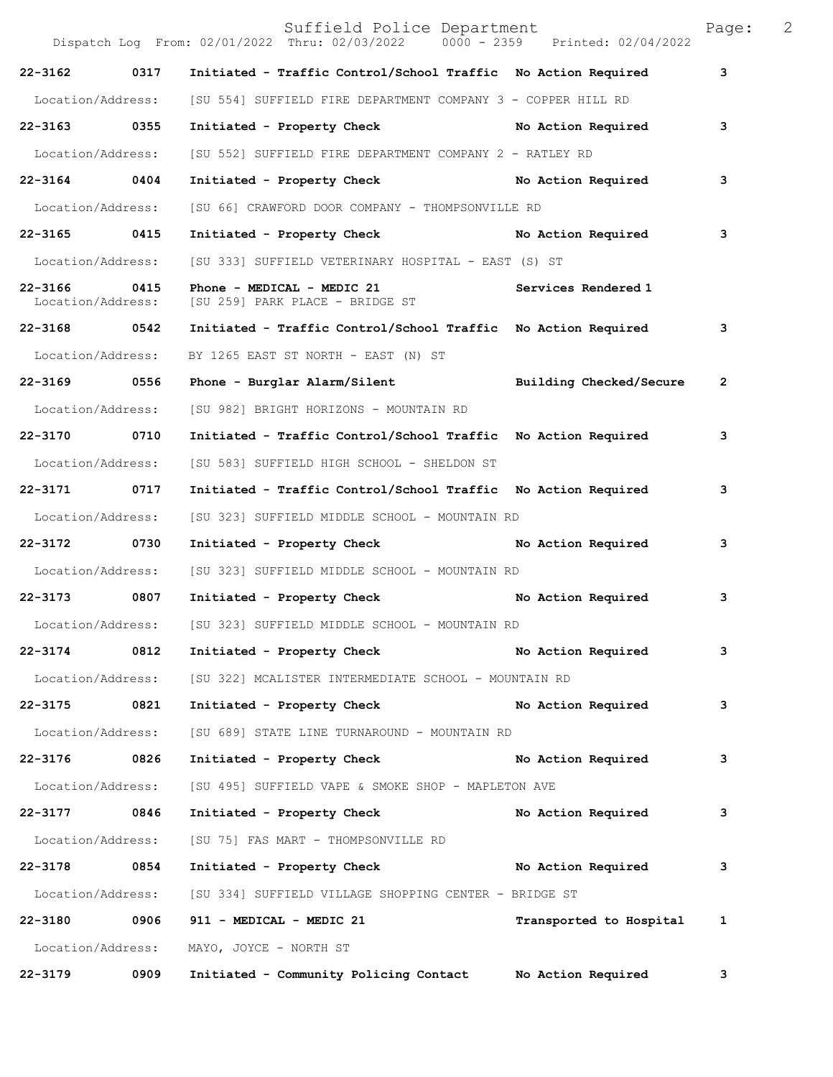|                                   |                   | Suffield Police Department<br>Dispatch Log From: 02/01/2022 Thru: 02/03/2022 0000 - 2359 Printed: 02/04/2022 |                         | Page:        | 2 |
|-----------------------------------|-------------------|--------------------------------------------------------------------------------------------------------------|-------------------------|--------------|---|
| 22-3162                           | 0317              | Initiated - Traffic Control/School Traffic No Action Required                                                |                         | 3            |   |
| Location/Address:                 |                   | [SU 554] SUFFIELD FIRE DEPARTMENT COMPANY 3 - COPPER HILL RD                                                 |                         |              |   |
| 22-3163 0355                      |                   | Initiated - Property Check No Action Required                                                                |                         | 3            |   |
| Location/Address:                 |                   | [SU 552] SUFFIELD FIRE DEPARTMENT COMPANY 2 - RATLEY RD                                                      |                         |              |   |
| 22-3164 0404                      |                   | Initiated - Property Check No Action Required                                                                |                         | 3            |   |
| Location/Address:                 |                   | [SU 66] CRAWFORD DOOR COMPANY - THOMPSONVILLE RD                                                             |                         |              |   |
| 22-3165 0415                      |                   | Initiated - Property Check                                                                                   | No Action Required      | 3            |   |
| Location/Address:                 |                   | [SU 333] SUFFIELD VETERINARY HOSPITAL - EAST (S) ST                                                          |                         |              |   |
| 22-3166 0415<br>Location/Address: |                   | Phone - MEDICAL - MEDIC 21<br>[SU 259] PARK PLACE - BRIDGE ST                                                | Services Rendered 1     |              |   |
| $22 - 3168$                       | 0542              | Initiated - Traffic Control/School Traffic No Action Required                                                |                         | 3            |   |
| Location/Address:                 |                   | BY 1265 EAST ST NORTH - EAST (N) ST                                                                          |                         |              |   |
| 22-3169 0556                      |                   | Phone - Burglar Alarm/Silent Manusch Building Checked/Secure                                                 |                         | $\mathbf{2}$ |   |
| Location/Address:                 |                   | [SU 982] BRIGHT HORIZONS - MOUNTAIN RD                                                                       |                         |              |   |
| 22-3170 0710                      |                   | Initiated - Traffic Control/School Traffic  No Action Required                                               |                         | 3            |   |
| Location/Address:                 |                   | [SU 583] SUFFIELD HIGH SCHOOL - SHELDON ST                                                                   |                         |              |   |
| 22-3171                           | 0717              | Initiated - Traffic Control/School Traffic No Action Required                                                |                         | 3            |   |
| Location/Address:                 |                   | [SU 323] SUFFIELD MIDDLE SCHOOL - MOUNTAIN RD                                                                |                         |              |   |
| 22-3172 0730                      |                   | Initiated - Property Check                                                                                   | No Action Required      | 3            |   |
| Location/Address:                 |                   | [SU 323] SUFFIELD MIDDLE SCHOOL - MOUNTAIN RD                                                                |                         |              |   |
| 22-3173 0807                      |                   | Initiated - Property Check                                                                                   | No Action Required      | 3            |   |
| Location/Address:                 |                   | [SU 323] SUFFIELD MIDDLE SCHOOL - MOUNTAIN RD                                                                |                         |              |   |
| $22 - 3174$                       | 0812              | Initiated - Property Check                                                                                   | No Action Required      | 3            |   |
| Location/Address:                 |                   | [SU 322] MCALISTER INTERMEDIATE SCHOOL - MOUNTAIN RD                                                         |                         |              |   |
| 22-3175 0821                      |                   | Initiated - Property Check                                                                                   | No Action Required      | 3            |   |
| Location/Address:                 |                   | [SU 689] STATE LINE TURNAROUND - MOUNTAIN RD                                                                 |                         |              |   |
| 22-3176                           | 0826              | Initiated - Property Check                                                                                   | No Action Required      | 3            |   |
| Location/Address:                 |                   | [SU 495] SUFFIELD VAPE & SMOKE SHOP - MAPLETON AVE                                                           |                         |              |   |
| 22-3177 0846                      |                   | Initiated - Property Check                                                                                   | No Action Required      | 3            |   |
| Location/Address:                 |                   | [SU 75] FAS MART - THOMPSONVILLE RD                                                                          |                         |              |   |
| 22-3178 0854                      |                   | Initiated - Property Check No Action Required                                                                |                         | 3            |   |
|                                   | Location/Address: | [SU 334] SUFFIELD VILLAGE SHOPPING CENTER - BRIDGE ST                                                        |                         |              |   |
| 22-3180 0906                      |                   | 911 - MEDICAL - MEDIC 21                                                                                     | Transported to Hospital | 1            |   |
| Location/Address:                 |                   | MAYO, JOYCE - NORTH ST                                                                                       |                         |              |   |
| 22-3179                           | 0909              | Initiated - Community Policing Contact Mo Action Required                                                    |                         | 3            |   |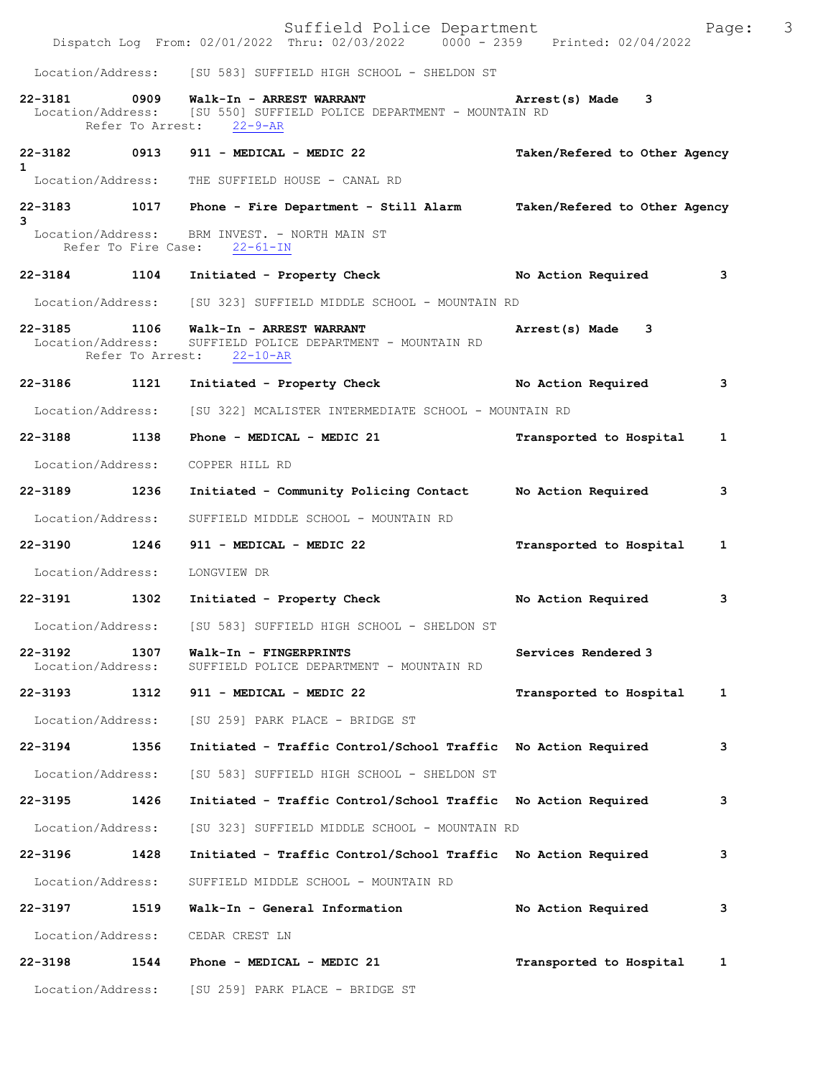|                                   |      | Suffield Police Department<br>Dispatch Log From: 02/01/2022 Thru: 02/03/2022   0000 - 2359   Printed: 02/04/2022 |                               | 3<br>Page: |
|-----------------------------------|------|------------------------------------------------------------------------------------------------------------------|-------------------------------|------------|
|                                   |      | Location/Address: [SU 583] SUFFIELD HIGH SCHOOL - SHELDON ST                                                     |                               |            |
| 22-3181 0909<br>Location/Address: |      | Walk-In - ARREST WARRANT<br>[SU 550] SUFFIELD POLICE DEPARTMENT - MOUNTAIN RD<br>Refer To Arrest: 22-9-AR        | Arrest(s) Made 3              |            |
| $22 - 3182$<br>$\mathbf{1}$       |      | 0913 911 - MEDICAL - MEDIC 22<br>Location/Address: THE SUFFIELD HOUSE - CANAL RD                                 | Taken/Refered to Other Agency |            |
|                                   |      | 22-3183 1017 Phone - Fire Department - Still Alarm Taken/Refered to Other Agency                                 |                               |            |
| 3                                 |      | Location/Address: BRM INVEST. - NORTH MAIN ST<br>Refer To Fire Case: 22-61-IN                                    |                               |            |
|                                   |      | 22-3184 1104 Initiated - Property Check No Action Required                                                       |                               | 3          |
|                                   |      | Location/Address: [SU 323] SUFFIELD MIDDLE SCHOOL - MOUNTAIN RD                                                  |                               |            |
| $22 - 3185$<br>Location/Address:  | 1106 | Walk-In - ARREST WARRANT<br>SUFFIELD POLICE DEPARTMENT - MOUNTAIN RD<br>Refer To Arrest: 22-10-AR                | Arrest(s) Made 3              |            |
| 22-3186 1121                      |      | Initiated - Property Check                                                                                       | No Action Required            | з          |
|                                   |      | Location/Address: [SU 322] MCALISTER INTERMEDIATE SCHOOL - MOUNTAIN RD                                           |                               |            |
| 22-3188 1138                      |      | Phone - MEDICAL - MEDIC 21                                                                                       | Transported to Hospital       | 1          |
| Location/Address:                 |      | COPPER HILL RD                                                                                                   |                               |            |
| 22-3189 1236                      |      | Initiated - Community Policing Contact Mo Action Required                                                        |                               | з          |
| Location/Address:                 |      | SUFFIELD MIDDLE SCHOOL - MOUNTAIN RD                                                                             |                               |            |
| 22-3190 1246                      |      | 911 - MEDICAL - MEDIC 22                                                                                         | Transported to Hospital       | 1          |
| Location/Address:                 |      | LONGVIEW DR                                                                                                      |                               |            |
| 22-3191 1302                      |      | Initiated - Property Check                                                                                       | No Action Required            | з          |
| Location/Address:                 |      | [SU 583] SUFFIELD HIGH SCHOOL - SHELDON ST                                                                       |                               |            |
| $22 - 3192$<br>Location/Address:  | 1307 | Walk-In - FINGERPRINTS<br>SUFFIELD POLICE DEPARTMENT - MOUNTAIN RD                                               | Services Rendered 3           |            |
| 22-3193 1312                      |      | 911 - MEDICAL - MEDIC 22                                                                                         | Transported to Hospital       | 1          |
| Location/Address:                 |      | [SU 259] PARK PLACE - BRIDGE ST                                                                                  |                               |            |
| 22-3194                           | 1356 | Initiated - Traffic Control/School Traffic No Action Required                                                    |                               | 3          |
| Location/Address:                 |      | [SU 583] SUFFIELD HIGH SCHOOL - SHELDON ST                                                                       |                               |            |
| 22-3195                           | 1426 | Initiated - Traffic Control/School Traffic                                                                       | No Action Required            | з          |
| Location/Address:                 |      | [SU 323] SUFFIELD MIDDLE SCHOOL - MOUNTAIN RD                                                                    |                               |            |
| 22-3196 1428                      |      | Initiated - Traffic Control/School Traffic No Action Required                                                    |                               | з          |
| Location/Address:                 |      | SUFFIELD MIDDLE SCHOOL - MOUNTAIN RD                                                                             |                               |            |
| 22-3197                           | 1519 | Walk-In - General Information                                                                                    | No Action Required            | з          |
| Location/Address:                 |      | CEDAR CREST LN                                                                                                   |                               |            |
| 22-3198                           | 1544 | Phone - MEDICAL - MEDIC 21                                                                                       | Transported to Hospital       | 1          |
|                                   |      | Location/Address: [SU 259] PARK PLACE - BRIDGE ST                                                                |                               |            |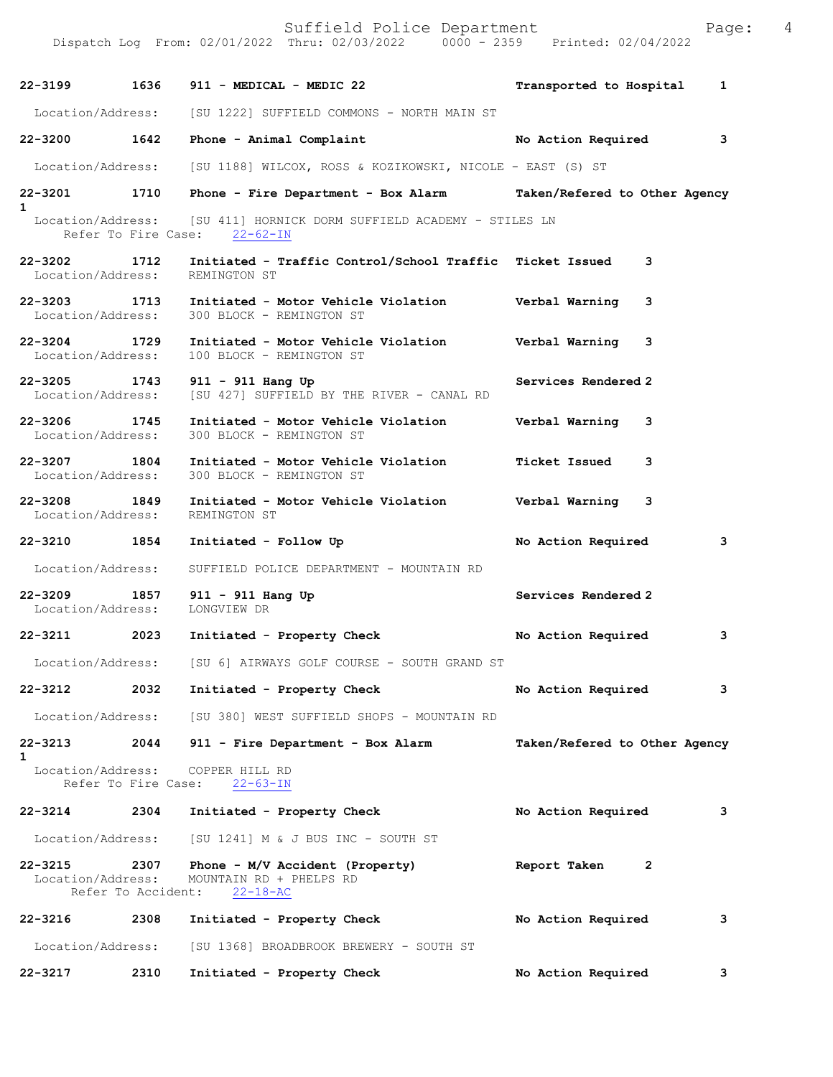Suffield Police Department Fage: 4 Dispatch Log From: 02/01/2022 Thru: 02/03/2022 0000 - 2359 Printed: 02/04/2022 **22-3199 1636 911 - MEDICAL - MEDIC 22 Transported to Hospital 1** Location/Address: [SU 1222] SUFFIELD COMMONS - NORTH MAIN ST **22-3200 1642 Phone - Animal Complaint No Action Required 3** Location/Address: [SU 1188] WILCOX, ROSS & KOZIKOWSKI, NICOLE - EAST (S) ST **22-3201 1710 Phone - Fire Department - Box Alarm Taken/Refered to Other Agency 1**  Location/Address: [SU 411] HORNICK DORM SUFFIELD ACADEMY - STILES LN Refer To Fire Case: 22-62-IN **22-3202 1712 Initiated - Traffic Control/School Traffic Ticket Issued 3**  Location/Address: REMINGTON ST **22-3203 1713 Initiated - Motor Vehicle Violation Verbal Warning 3**  Location/Address: 300 BLOCK - REMINGTON ST **22-3204 1729 Initiated - Motor Vehicle Violation Verbal Warning 3**  Location/Address: 100 BLOCK - REMINGTON ST **22-3205 1743 911 - 911 Hang Up Services Rendered 2**  Location/Address: [SU 427] SUFFIELD BY THE RIVER - CANAL RD **22-3206 1745 Initiated - Motor Vehicle Violation Verbal Warning 3**  300 BLOCK - REMINGTON ST **22-3207 1804 Initiated - Motor Vehicle Violation Ticket Issued 3**  Location/Address: 300 BLOCK - REMINGTON ST **22-3208 1849 Initiated - Motor Vehicle Violation Verbal Warning 3**  Location/Address: **22-3210 1854 Initiated - Follow Up No Action Required 3** Location/Address: SUFFIELD POLICE DEPARTMENT - MOUNTAIN RD **22-3209 1857 911 - 911 Hang Up Services Rendered 2**  Location/Address: **22-3211 2023 Initiated - Property Check No Action Required 3** Location/Address: [SU 6] AIRWAYS GOLF COURSE - SOUTH GRAND ST **22-3212 2032 Initiated - Property Check No Action Required 3** Location/Address: [SU 380] WEST SUFFIELD SHOPS - MOUNTAIN RD **22-3213 2044 911 - Fire Department - Box Alarm Taken/Refered to Other Agency 1**  Location/Address: COPPER HILL RD Refer To Fire Case: 22-63-IN **22-3214 2304 Initiated - Property Check No Action Required 3** Location/Address: [SU 1241] M & J BUS INC - SOUTH ST **22-3215 2307 Phone - M/V Accident (Property) Report Taken 2**  Location/Address: MOUNTAIN RD + PHELPS RD Refer To Accident: 22-18-AC **22-3216 2308 Initiated - Property Check No Action Required 3** Location/Address: [SU 1368] BROADBROOK BREWERY - SOUTH ST

**22-3217 2310 Initiated - Property Check No Action Required 3**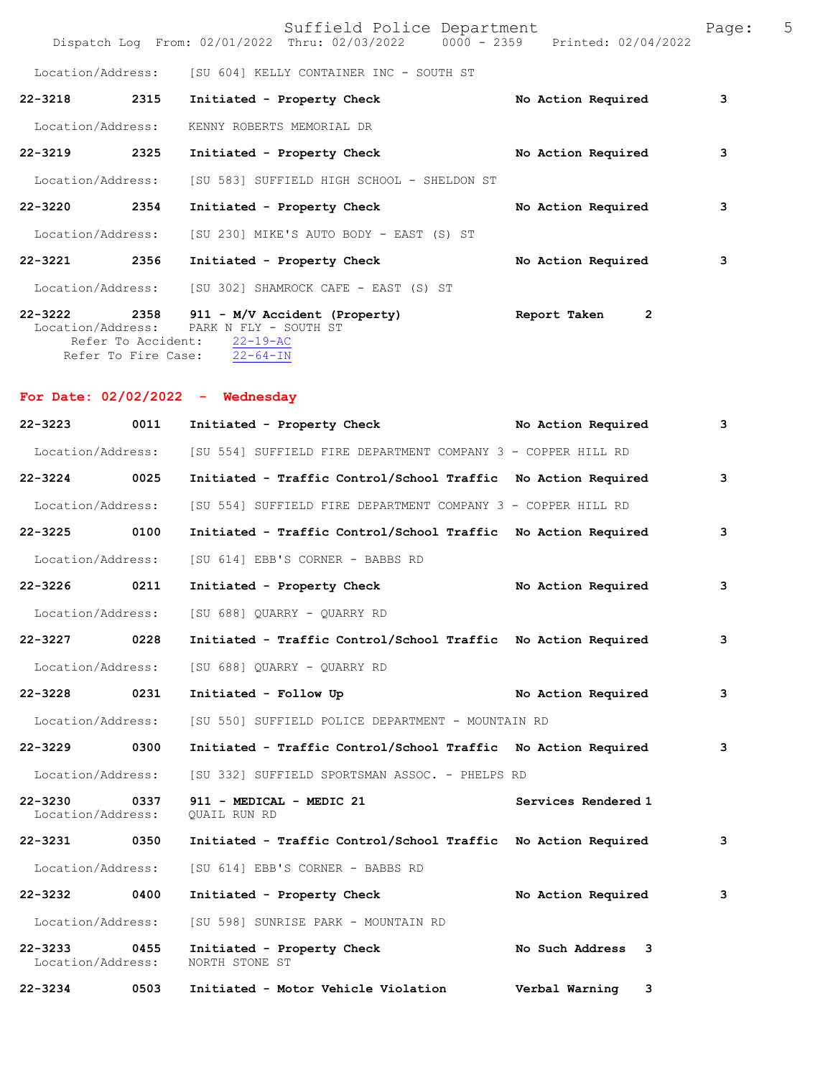$\text{Sufficient}$  Police Department<br>Thru: 02/03/2022 0000 - 2359 Printed: 02/04/2022

|                     | Dispatch Log From: 02/01/2022 Thru: 02/03/2022                                                                                                         | 0000 - 2359 Printed: 02/04/2022 |   |
|---------------------|--------------------------------------------------------------------------------------------------------------------------------------------------------|---------------------------------|---|
|                     | Location/Address: [SU 604] KELLY CONTAINER INC - SOUTH ST                                                                                              |                                 |   |
| 2315<br>$22 - 3218$ | Initiated - Property Check                                                                                                                             | No Action Required              | 3 |
| Location/Address:   | KENNY ROBERTS MEMORIAL DR                                                                                                                              |                                 |   |
| $22 - 3219$<br>2325 | Initiated - Property Check                                                                                                                             | No Action Required              | 3 |
|                     | Location/Address: [SU 583] SUFFIELD HIGH SCHOOL - SHELDON ST                                                                                           |                                 |   |
| 2354<br>$22 - 3220$ | Initiated - Property Check                                                                                                                             | No Action Required              | 3 |
|                     | Location/Address: [SU 230] MIKE'S AUTO BODY - EAST (S) ST                                                                                              |                                 |   |
| 2356<br>$22 - 3221$ | Initiated - Property Check                                                                                                                             | No Action Required              | 3 |
|                     | Location/Address: [SU 302] SHAMROCK CAFE - EAST (S) ST                                                                                                 |                                 |   |
|                     | $22-3222$ 2358 911 - M/V Accident (Property)<br>Location/Address: PARK N FLY - SOUTH ST<br>Refer To Accident: 22-19-AC<br>Refer To Fire Case: 22-64-IN | $\mathbf{2}$<br>Report Taken    |   |

**For Date: 02/02/2022 - Wednesday**

**22-3223 0011 Initiated - Property Check No Action Required 3** Location/Address: [SU 554] SUFFIELD FIRE DEPARTMENT COMPANY 3 - COPPER HILL RD **22-3224 0025 Initiated - Traffic Control/School Traffic No Action Required 3** Location/Address: [SU 554] SUFFIELD FIRE DEPARTMENT COMPANY 3 - COPPER HILL RD **22-3225 0100 Initiated - Traffic Control/School Traffic No Action Required 3** Location/Address: [SU 614] EBB'S CORNER - BABBS RD **22-3226 0211 Initiated - Property Check No Action Required 3** Location/Address: [SU 688] QUARRY - QUARRY RD **22-3227 0228 Initiated - Traffic Control/School Traffic No Action Required 3** Location/Address: [SU 688] QUARRY - QUARRY RD **22-3228 0231 Initiated - Follow Up No Action Required 3** Location/Address: [SU 550] SUFFIELD POLICE DEPARTMENT - MOUNTAIN RD **22-3229 0300 Initiated - Traffic Control/School Traffic No Action Required 3** Location/Address: [SU 332] SUFFIELD SPORTSMAN ASSOC. - PHELPS RD **22-3230 0337 911 - MEDICAL - MEDIC 21 Services Rendered 1**  Location/Address: **22-3231 0350 Initiated - Traffic Control/School Traffic No Action Required 3** Location/Address: [SU 614] EBB'S CORNER - BABBS RD **22-3232 0400 Initiated - Property Check No Action Required 3** Location/Address: [SU 598] SUNRISE PARK - MOUNTAIN RD **22-3233 0455 Initiated - Property Check No Such Address 3** <br>Location/Address: NORTH STONE ST Location/Address: **22-3234 0503 Initiated - Motor Vehicle Violation Verbal Warning 3**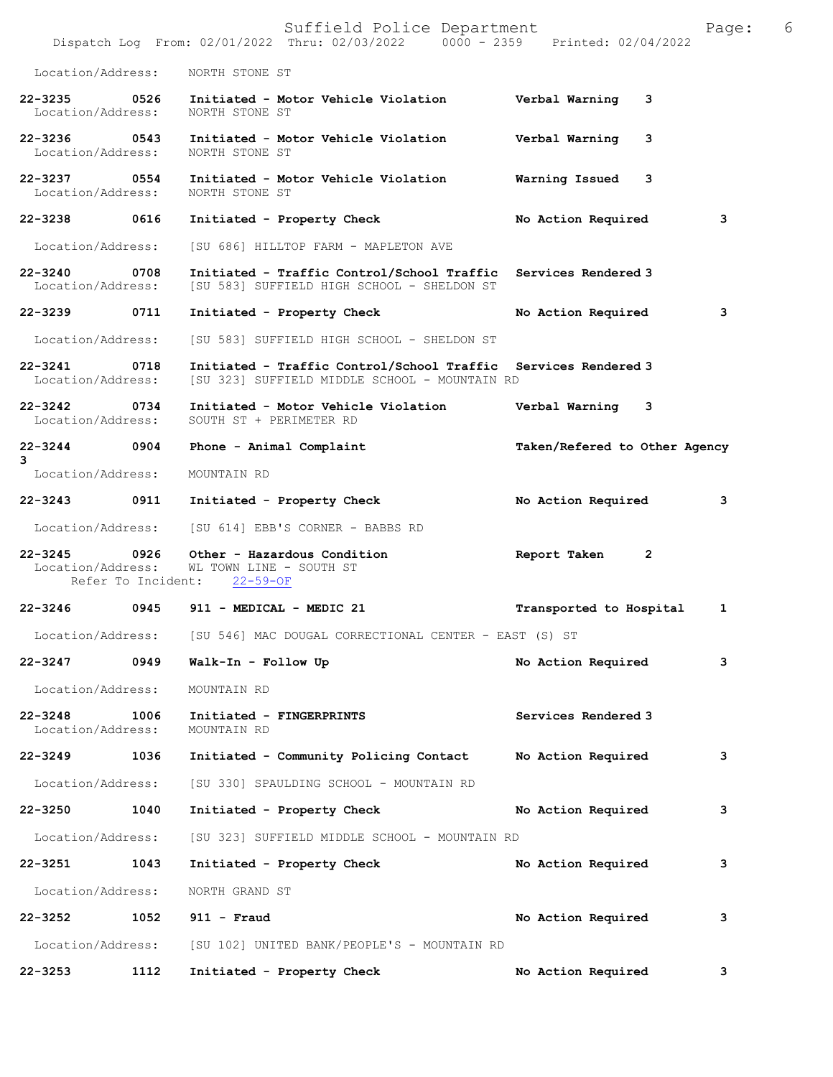|                                                       |                                           | Suffield Police Department<br>Dispatch Log From: 02/01/2022 Thru: 02/03/2022 0000 - 2359 Printed: 02/04/2022    |                               | 6<br>Page: |
|-------------------------------------------------------|-------------------------------------------|-----------------------------------------------------------------------------------------------------------------|-------------------------------|------------|
| Location/Address:                                     |                                           | NORTH STONE ST                                                                                                  |                               |            |
| 22-3235 0526<br>Location/Address:                     |                                           | Initiated - Motor Vehicle Violation<br>NORTH STONE ST                                                           | Verbal Warning<br>3           |            |
| 22-3236 0543<br>Location/Address:                     |                                           | Initiated - Motor Vehicle Violation<br>NORTH STONE ST                                                           | Verbal Warning<br>3           |            |
| 22-3237 0554<br>Location/Address:                     |                                           | Initiated - Motor Vehicle Violation<br>NORTH STONE ST                                                           | Warning Issued<br>3           |            |
| 22-3238 0616                                          |                                           | Initiated - Property Check                                                                                      | No Action Required            | 3          |
| Location/Address:                                     |                                           | [SU 686] HILLTOP FARM - MAPLETON AVE                                                                            |                               |            |
| 22-3240 0708<br>Location/Address:                     |                                           | Initiated - Traffic Control/School Traffic Services Rendered 3<br>[SU 583] SUFFIELD HIGH SCHOOL - SHELDON ST    |                               |            |
| 22-3239                                               | 0711                                      | Initiated - Property Check                                                                                      | No Action Required            | 3          |
| Location/Address:                                     |                                           | [SU 583] SUFFIELD HIGH SCHOOL - SHELDON ST                                                                      |                               |            |
| 22-3241 0718<br>Location/Address:                     |                                           | Initiated - Traffic Control/School Traffic Services Rendered 3<br>[SU 323] SUFFIELD MIDDLE SCHOOL - MOUNTAIN RD |                               |            |
| $\overline{0734}$<br>$22 - 3242$<br>Location/Address: |                                           | Initiated - Motor Vehicle Violation<br>SOUTH ST + PERIMETER RD                                                  | Verbal Warning 3              |            |
| $22 - 3244$<br>3                                      | 0904                                      | Phone - Animal Complaint                                                                                        | Taken/Refered to Other Agency |            |
| Location/Address:                                     |                                           | MOUNTAIN RD                                                                                                     |                               |            |
| 22-3243 0911                                          |                                           | Initiated - Property Check                                                                                      | No Action Required            | 3          |
| Location/Address:                                     |                                           | [SU 614] EBB'S CORNER - BABBS RD                                                                                |                               |            |
| $22 - 3245$<br>Location/Address:                      | $\overline{0}$ 0926<br>Refer To Incident: | Other - Hazardous Condition<br>WL TOWN LINE - SOUTH ST<br>$22 - 59 - OF$                                        | Report Taken<br>2             |            |
| 22-3246                                               | 0945                                      | 911 - MEDICAL - MEDIC 21                                                                                        | Transported to Hospital       | 1          |
| Location/Address:                                     |                                           | [SU 546] MAC DOUGAL CORRECTIONAL CENTER - EAST (S) ST                                                           |                               |            |
| 22-3247                                               | 0949                                      | Walk-In - Follow Up                                                                                             | No Action Required            | 3          |
| Location/Address:                                     |                                           | MOUNTAIN RD                                                                                                     |                               |            |
| 22-3248<br>Location/Address:                          | 1006                                      | Initiated - FINGERPRINTS<br>MOUNTAIN RD                                                                         | Services Rendered 3           |            |
| 22-3249 1036                                          |                                           | Initiated - Community Policing Contact                                                                          | No Action Required            | 3          |
| Location/Address:                                     |                                           | [SU 330] SPAULDING SCHOOL - MOUNTAIN RD                                                                         |                               |            |
| 22-3250                                               | 1040                                      | Initiated - Property Check                                                                                      | No Action Required            | з          |
| Location/Address:                                     |                                           | [SU 323] SUFFIELD MIDDLE SCHOOL - MOUNTAIN RD                                                                   |                               |            |
| 22-3251                                               | 1043                                      | Initiated - Property Check                                                                                      | No Action Required            | 3          |
| Location/Address:                                     |                                           | NORTH GRAND ST                                                                                                  |                               |            |
| $22 - 3252$                                           | 1052                                      | $911 -$ Fraud                                                                                                   | No Action Required            | 3          |
|                                                       |                                           | Location/Address: [SU 102] UNITED BANK/PEOPLE'S - MOUNTAIN RD                                                   |                               |            |
| 22-3253                                               | 1112                                      | Initiated - Property Check                                                                                      | No Action Required            | 3          |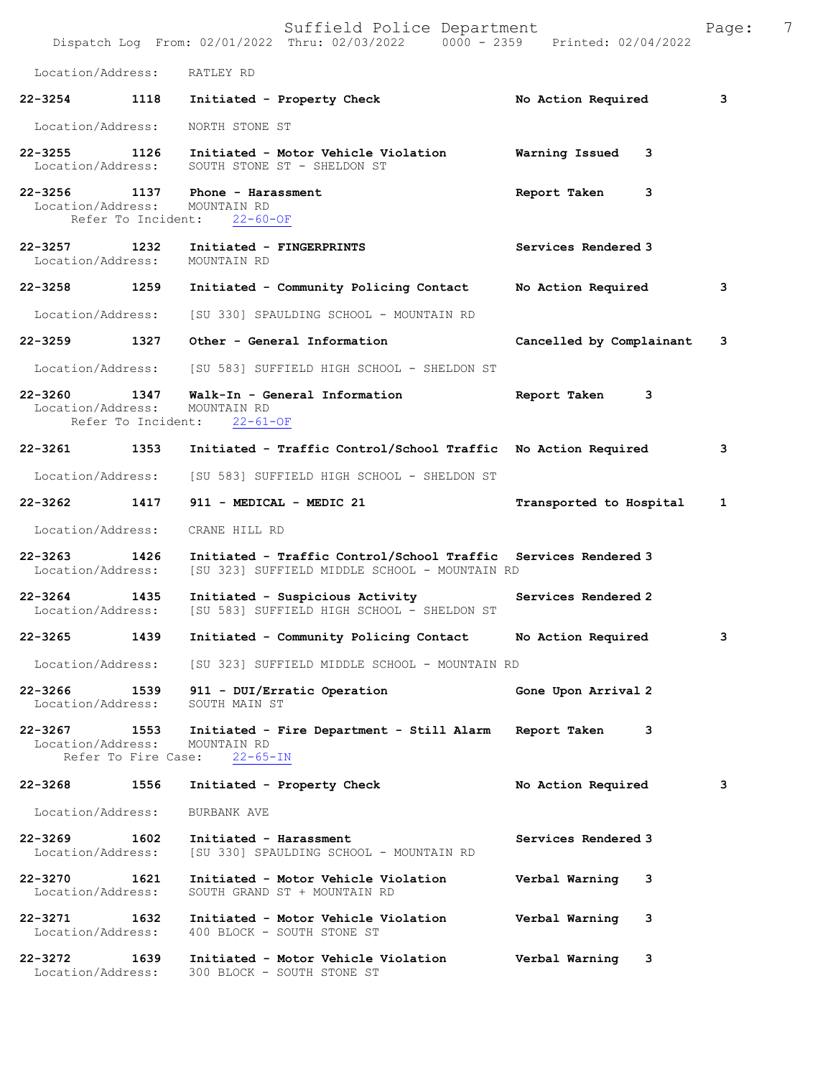|                                                          |      | Suffield Police Department<br>Dispatch Log From: 02/01/2022 Thru: 02/03/2022 0000 - 2359 Printed: 02/04/2022    |                            | 7<br>Page: |
|----------------------------------------------------------|------|-----------------------------------------------------------------------------------------------------------------|----------------------------|------------|
| Location/Address:                                        |      | RATLEY RD                                                                                                       |                            |            |
| $22 - 3254$                                              | 1118 | Initiated - Property Check                                                                                      | No Action Required         | 3          |
| Location/Address:                                        |      | NORTH STONE ST                                                                                                  |                            |            |
| 1126<br>$22 - 3255$<br>Location/Address:                 |      | Initiated - Motor Vehicle Violation<br>SOUTH STONE ST - SHELDON ST                                              | <b>Warning Issued</b><br>3 |            |
| Location/Address:<br>Refer To Incident:                  |      | 22-3256 1137 Phone - Harassment<br>MOUNTAIN RD<br>$22 - 60 - OF$                                                | Report Taken<br>3          |            |
| 22-3257<br>Location/Address:                             | 1232 | Initiated - FINGERPRINTS<br>MOUNTAIN RD                                                                         | Services Rendered 3        |            |
| 22-3258                                                  | 1259 | Initiated - Community Policing Contact                                                                          | No Action Required         | 3          |
| Location/Address:                                        |      | [SU 330] SPAULDING SCHOOL - MOUNTAIN RD                                                                         |                            |            |
| 22-3259                                                  | 1327 | Other - General Information                                                                                     | Cancelled by Complainant   | 3          |
| Location/Address:                                        |      | [SU 583] SUFFIELD HIGH SCHOOL - SHELDON ST                                                                      |                            |            |
| $22 - 3260$<br>Location/Address:<br>Refer To Incident:   | 1347 | Walk-In - General Information<br>MOUNTAIN RD<br>$22 - 61 - OF$                                                  | Report Taken<br>3          |            |
| 22-3261                                                  | 1353 | Initiated - Traffic Control/School Traffic No Action Required                                                   |                            | 3          |
| Location/Address:                                        |      | [SU 583] SUFFIELD HIGH SCHOOL - SHELDON ST                                                                      |                            |            |
| 22-3262 1417                                             |      | 911 - MEDICAL - MEDIC 21                                                                                        | Transported to Hospital    | 1          |
| Location/Address:                                        |      | CRANE HILL RD                                                                                                   |                            |            |
| $22 - 3263$<br>Location/Address:                         | 1426 | Initiated - Traffic Control/School Traffic Services Rendered 3<br>[SU 323] SUFFIELD MIDDLE SCHOOL - MOUNTAIN RD |                            |            |
| $22 - 3264$<br>Location/Address:                         | 1435 | Initiated - Suspicious Activity<br>[SU 583] SUFFIELD HIGH SCHOOL - SHELDON ST                                   | Services Rendered 2        |            |
| 22-3265                                                  | 1439 | Initiated - Community Policing Contact                                                                          | No Action Required         | 3          |
| Location/Address:                                        |      | [SU 323] SUFFIELD MIDDLE SCHOOL - MOUNTAIN RD                                                                   |                            |            |
| 22-3266 1539<br>Location/Address:                        |      | 911 - DUI/Erratic Operation<br>SOUTH MAIN ST                                                                    | Gone Upon Arrival 2        |            |
| 22-3267 1553<br>Location/Address:<br>Refer To Fire Case: |      | Initiated - Fire Department - Still Alarm<br>MOUNTAIN RD<br>$22 - 65 - IN$                                      | 3<br>Report Taken          |            |
| 22-3268                                                  | 1556 | Initiated - Property Check                                                                                      | No Action Required         | 3          |
| Location/Address:                                        |      | BURBANK AVE                                                                                                     |                            |            |
| $22 - 3269$<br>Location/Address:                         | 1602 | Initiated - Harassment<br>[SU 330] SPAULDING SCHOOL - MOUNTAIN RD                                               | Services Rendered 3        |            |
| $22 - 3270$<br>Location/Address:                         | 1621 | Initiated - Motor Vehicle Violation<br>SOUTH GRAND ST + MOUNTAIN RD                                             | Verbal Warning<br>3        |            |
| 22-3271 1632<br>Location/Address:                        |      | Initiated - Motor Vehicle Violation<br>400 BLOCK - SOUTH STONE ST                                               | Verbal Warning<br>3        |            |
| 22-3272<br>1639<br>Location/Address:                     |      | Initiated - Motor Vehicle Violation<br>300 BLOCK - SOUTH STONE ST                                               | Verbal Warning<br>3        |            |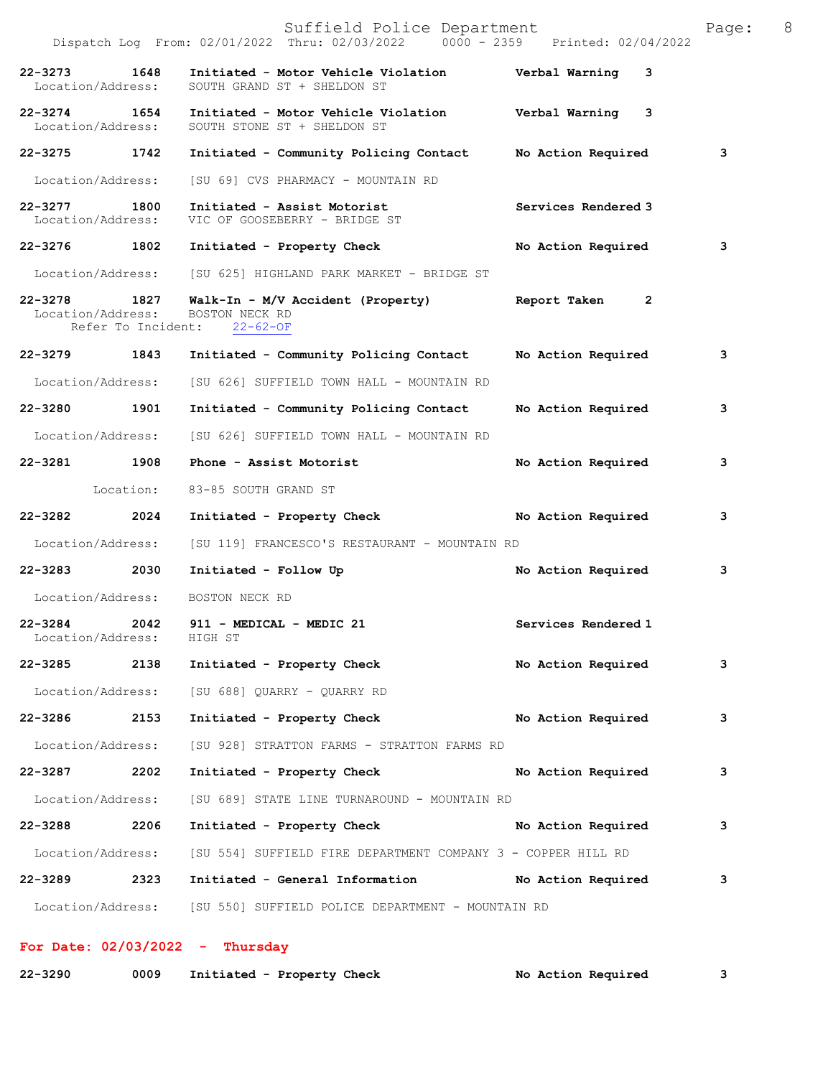|                                   |                            | Suffield Police Department<br>Dispatch Log From: 02/01/2022 Thru: 02/03/2022 0000 - 2359 Printed: 02/04/2022 |                                | - 8<br>Page: |
|-----------------------------------|----------------------------|--------------------------------------------------------------------------------------------------------------|--------------------------------|--------------|
| 22-3273 1648<br>Location/Address: |                            | Initiated - Motor Vehicle Violation - - - - Verbal Warning<br>SOUTH GRAND ST + SHELDON ST                    | 3                              |              |
| 22-3274 1654<br>Location/Address: |                            | Initiated - Motor Vehicle Violation<br>SOUTH STONE ST + SHELDON ST                                           | Verbal Warning<br>3            |              |
| 22–3275 1742                      |                            | Initiated - Community Policing Contact No Action Required                                                    |                                | 3            |
| Location/Address:                 |                            | [SU 69] CVS PHARMACY - MOUNTAIN RD                                                                           |                                |              |
| 22-3277 1800<br>Location/Address: |                            | Initiated - Assist Motorist<br>VIC OF GOOSEBERRY - BRIDGE ST                                                 | Services Rendered 3            |              |
|                                   |                            | 22-3276 1802 Initiated - Property Check                                                                      | No Action Required             | 3            |
|                                   |                            | Location/Address: [SU 625] HIGHLAND PARK MARKET - BRIDGE ST                                                  |                                |              |
| 22-3278<br>Location/Address:      | 1827<br>Refer To Incident: | Walk-In - M/V Accident (Property)<br>BOSTON NECK RD<br>$22 - 62 - OF$                                        | Report Taken<br>$\overline{2}$ |              |
| 22-3279 1843                      |                            | Initiated - Community Policing Contact                                                                       | No Action Required             | 3            |
| Location/Address:                 |                            | [SU 626] SUFFIELD TOWN HALL - MOUNTAIN RD                                                                    |                                |              |
| 22-3280 1901                      |                            | Initiated - Community Policing Contact                                                                       | No Action Required             | 3            |
| Location/Address:                 |                            | [SU 626] SUFFIELD TOWN HALL - MOUNTAIN RD                                                                    |                                |              |
| 22-3281 1908                      |                            | Phone - Assist Motorist                                                                                      | No Action Required             | 3            |
|                                   | Location:                  | 83-85 SOUTH GRAND ST                                                                                         |                                |              |
| $22 - 3282$                       | 2024                       | Initiated - Property Check                                                                                   | No Action Required             | 3            |
| Location/Address:                 |                            | [SU 119] FRANCESCO'S RESTAURANT - MOUNTAIN RD                                                                |                                |              |
| 22-3283 2030                      |                            | Initiated - Follow Up                                                                                        | No Action Required             | 3            |
| Location/Address:                 |                            | BOSTON NECK RD                                                                                               |                                |              |
| $22 - 3284$<br>Location/Address:  | 2042                       | 911 - MEDICAL - MEDIC 21<br>HIGH ST                                                                          | Services Rendered 1            |              |
| 22-3285 2138                      |                            | Initiated - Property Check                                                                                   | No Action Required             | 3            |
|                                   |                            | Location/Address: [SU 688] QUARRY - QUARRY RD                                                                |                                |              |
| 22-3286                           | 2153                       | Initiated - Property Check                                                                                   | No Action Required             | 3            |
| Location/Address:                 |                            | [SU 928] STRATTON FARMS - STRATTON FARMS RD                                                                  |                                |              |
| 22-3287 2202                      |                            | Initiated - Property Check                                                                                   | No Action Required             | 3            |
| Location/Address:                 |                            | [SU 689] STATE LINE TURNAROUND - MOUNTAIN RD                                                                 |                                |              |
| 22-3288 2206                      |                            | Initiated - Property Check No Action Required                                                                |                                | 3            |
| Location/Address:                 |                            | [SU 554] SUFFIELD FIRE DEPARTMENT COMPANY 3 - COPPER HILL RD                                                 |                                |              |
| 22-3289                           | 2323                       | Initiated - General Information No Action Required                                                           |                                | 3            |
|                                   |                            | Location/Address: [SU 550] SUFFIELD POLICE DEPARTMENT - MOUNTAIN RD                                          |                                |              |

## **For Date: 02/03/2022 - Thursday**

| $22 - 3290$ | 0009 | Initiated - Property Check | No Action Required |  |
|-------------|------|----------------------------|--------------------|--|
|-------------|------|----------------------------|--------------------|--|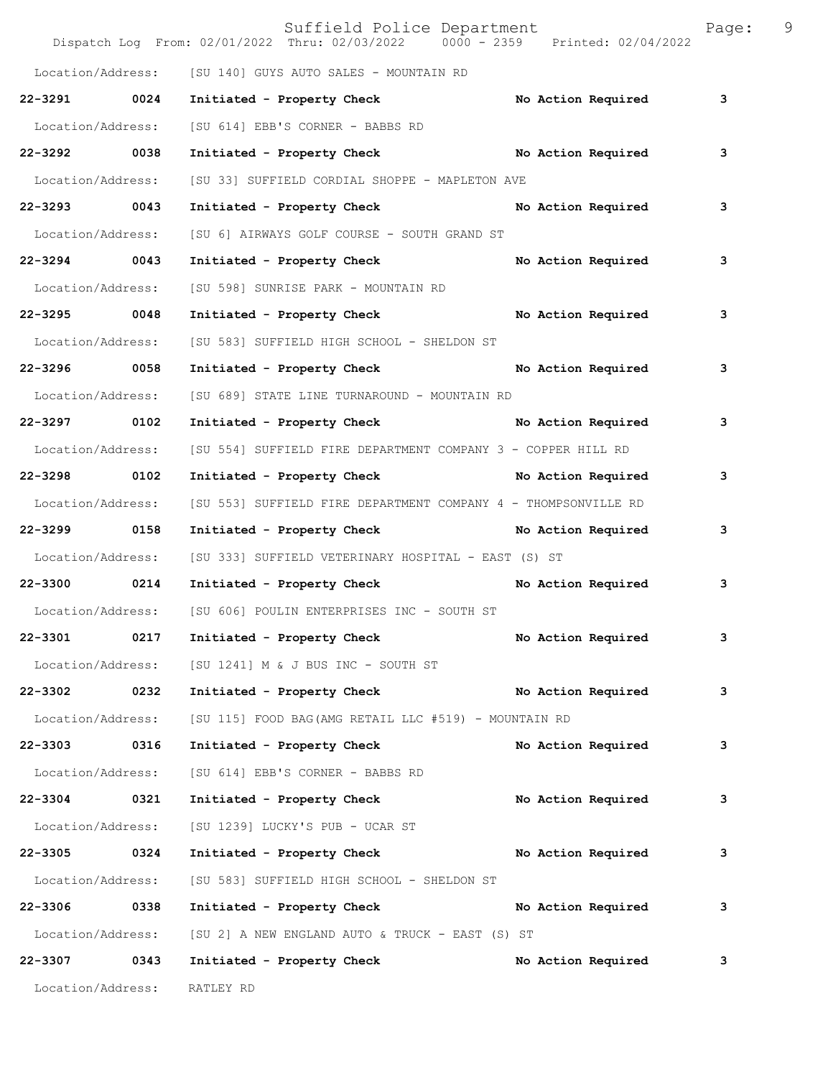|                   |      | Suffield Police Department<br>Dispatch Log From: 02/01/2022 Thru: 02/03/2022   0000 - 2359   Printed: 02/04/2022 |                           | Page: | 9 |
|-------------------|------|------------------------------------------------------------------------------------------------------------------|---------------------------|-------|---|
|                   |      | Location/Address: [SU 140] GUYS AUTO SALES - MOUNTAIN RD                                                         |                           |       |   |
| 22-3291 0024      |      | Initiated - Property Check No Action Required                                                                    |                           | 3     |   |
| Location/Address: |      | [SU 614] EBB'S CORNER - BABBS RD                                                                                 |                           |       |   |
| 22-3292 0038      |      | Initiated - Property Check No Action Required                                                                    |                           | 3     |   |
| Location/Address: |      | [SU 33] SUFFIELD CORDIAL SHOPPE - MAPLETON AVE                                                                   |                           |       |   |
| 22-3293 0043      |      | Initiated - Property Check No Action Required                                                                    |                           | 3     |   |
| Location/Address: |      | [SU 6] AIRWAYS GOLF COURSE - SOUTH GRAND ST                                                                      |                           |       |   |
| 22-3294 0043      |      | Initiated - Property Check No Action Required                                                                    |                           | 3     |   |
| Location/Address: |      | [SU 598] SUNRISE PARK - MOUNTAIN RD                                                                              |                           |       |   |
| 22-3295 0048      |      | Initiated - Property Check No Action Required                                                                    |                           | 3     |   |
| Location/Address: |      | [SU 583] SUFFIELD HIGH SCHOOL - SHELDON ST                                                                       |                           |       |   |
| 22-3296 0058      |      | Initiated - Property Check No Action Required                                                                    |                           | 3     |   |
| Location/Address: |      | [SU 689] STATE LINE TURNAROUND - MOUNTAIN RD                                                                     |                           |       |   |
| 22-3297 0102      |      | Initiated - Property Check No Action Required                                                                    |                           | 3     |   |
| Location/Address: |      | [SU 554] SUFFIELD FIRE DEPARTMENT COMPANY 3 - COPPER HILL RD                                                     |                           |       |   |
| 22-3298 0102      |      | Initiated - Property Check No Action Required                                                                    |                           | 3     |   |
| Location/Address: |      | [SU 553] SUFFIELD FIRE DEPARTMENT COMPANY 4 - THOMPSONVILLE RD                                                   |                           |       |   |
| 22-3299 0158      |      | Initiated - Property Check No Action Required                                                                    |                           | 3     |   |
| Location/Address: |      | [SU 333] SUFFIELD VETERINARY HOSPITAL - EAST (S) ST                                                              |                           |       |   |
| 22-3300 0214      |      | Initiated - Property Check No Action Required                                                                    |                           | 3     |   |
|                   |      | Location/Address: [SU 606] POULIN ENTERPRISES INC - SOUTH ST                                                     |                           |       |   |
| 22-3301           | 0217 | Initiated - Property Check                                                                                       | No Action Required        | 3     |   |
| Location/Address: |      | [SU 1241] M & J BUS INC - SOUTH ST                                                                               |                           |       |   |
| 22-3302 0232      |      | Initiated - Property Check No Action Required                                                                    |                           | 3     |   |
| Location/Address: |      | [SU 115] FOOD BAG (AMG RETAIL LLC #519) - MOUNTAIN RD                                                            |                           |       |   |
| 22-3303 0316      |      | Initiated - Property Check                                                                                       | No Action Required        | 3     |   |
| Location/Address: |      | [SU 614] EBB'S CORNER - BABBS RD                                                                                 |                           |       |   |
| 22-3304 0321      |      | Initiated - Property Check                                                                                       | <b>No Action Required</b> | 3     |   |
| Location/Address: |      | [SU 1239] LUCKY'S PUB - UCAR ST                                                                                  |                           |       |   |
| 22-3305 0324      |      | Initiated - Property Check No Action Required                                                                    |                           | 3     |   |
| Location/Address: |      | [SU 583] SUFFIELD HIGH SCHOOL - SHELDON ST                                                                       |                           |       |   |
| 22-3306 0338      |      | Initiated - Property Check                                                                                       | No Action Required        | 3     |   |
| Location/Address: |      | [SU 2] A NEW ENGLAND AUTO & TRUCK - EAST (S) ST                                                                  |                           |       |   |
| 22-3307 0343      |      | Initiated - Property Check                                                                                       | No Action Required        | 3     |   |
|                   |      | Location/Address: RATLEY RD                                                                                      |                           |       |   |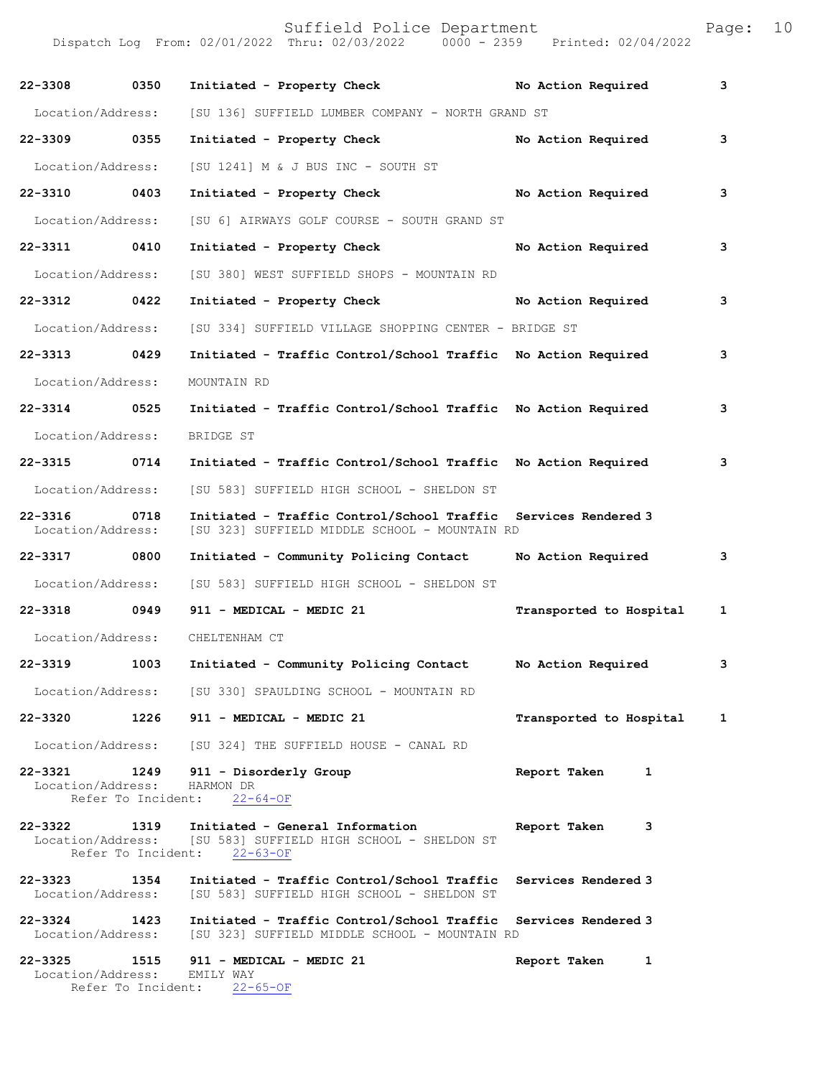Suffield Police Department Fage: 10

Dispatch Log From: 02/01/2022 Thru: 02/03/2022 0000 - 2359 Printed: 02/04/2022

| 22-3308                           | 0350               | Initiated - Property Check                                                                                             | No Action Required      | 3 |
|-----------------------------------|--------------------|------------------------------------------------------------------------------------------------------------------------|-------------------------|---|
| Location/Address:                 |                    | [SU 136] SUFFIELD LUMBER COMPANY - NORTH GRAND ST                                                                      |                         |   |
| 22-3309 0355                      |                    | Initiated - Property Check                                                                                             | No Action Required      | 3 |
| Location/Address:                 |                    | [SU 1241] M & J BUS INC - SOUTH ST                                                                                     |                         |   |
| 22-3310 0403                      |                    | Initiated - Property Check No Action Required                                                                          |                         | 3 |
| Location/Address:                 |                    | [SU 6] AIRWAYS GOLF COURSE - SOUTH GRAND ST                                                                            |                         |   |
| 22-3311 0410                      |                    | Initiated - Property Check                                                                                             | No Action Required      | 3 |
| Location/Address:                 |                    | [SU 380] WEST SUFFIELD SHOPS - MOUNTAIN RD                                                                             |                         |   |
| 22-3312 0422                      |                    | Initiated - Property Check                                                                                             | No Action Required      | 3 |
| Location/Address:                 |                    | [SU 334] SUFFIELD VILLAGE SHOPPING CENTER - BRIDGE ST                                                                  |                         |   |
| 22-3313 0429                      |                    | Initiated - Traffic Control/School Traffic No Action Required                                                          |                         | 3 |
| Location/Address:                 |                    | MOUNTAIN RD                                                                                                            |                         |   |
| 22-3314 0525                      |                    | Initiated - Traffic Control/School Traffic No Action Required                                                          |                         | 3 |
| Location/Address:                 |                    | BRIDGE ST                                                                                                              |                         |   |
| 22-3315 0714                      |                    | Initiated - Traffic Control/School Traffic No Action Required                                                          |                         | 3 |
| Location/Address:                 |                    | [SU 583] SUFFIELD HIGH SCHOOL - SHELDON ST                                                                             |                         |   |
| 22-3316<br>Location/Address:      | 0718               | Initiated - Traffic Control/School Traffic<br>[SU 323] SUFFIELD MIDDLE SCHOOL - MOUNTAIN RD                            | Services Rendered 3     |   |
| 22-3317 0800                      |                    | Initiated - Community Policing Contact Mo Action Required                                                              |                         | 3 |
| Location/Address:                 |                    | [SU 583] SUFFIELD HIGH SCHOOL - SHELDON ST                                                                             |                         |   |
| 22-3318 0949                      |                    | 911 - MEDICAL - MEDIC 21                                                                                               | Transported to Hospital | 1 |
|                                   |                    | Location/Address: CHELTENHAM CT                                                                                        |                         |   |
| 22-3319                           | 1003               | Initiated - Community Policing Contact Mo Action Required                                                              |                         | 3 |
|                                   |                    | Location/Address: [SU 330] SPAULDING SCHOOL - MOUNTAIN RD                                                              |                         |   |
| 22-3320 1226                      |                    | 911 - MEDICAL - MEDIC 21                                                                                               | Transported to Hospital | 1 |
|                                   |                    | Location/Address: [SU 324] THE SUFFIELD HOUSE - CANAL RD                                                               |                         |   |
| 22-3321<br>Location/Address:      |                    | 1249 911 - Disorderly Group<br>HARMON DR<br>Refer To Incident: 22-64-OF                                                | Report Taken<br>1       |   |
| 22-3322                           | Refer To Incident: | 1319 Initiated - General Information<br>Location/Address: [SU 583] SUFFIELD HIGH SCHOOL - SHELDON ST<br>$22 - 63 - OF$ | Report Taken<br>3       |   |
| 22–3323 1354<br>Location/Address: |                    | Initiated - Traffic Control/School Traffic Services Rendered 3<br>[SU 583] SUFFIELD HIGH SCHOOL - SHELDON ST           |                         |   |
| $22 - 3324$<br>Location/Address:  | 1423               | Initiated - Traffic Control/School Traffic Services Rendered 3<br>[SU 323] SUFFIELD MIDDLE SCHOOL - MOUNTAIN RD        |                         |   |
| Location/Address: EMILY WAY       |                    | 22-3325 1515 911 - MEDICAL - MEDIC 21<br>Refer To Incident: 22-65-OF                                                   | Report Taken<br>1       |   |